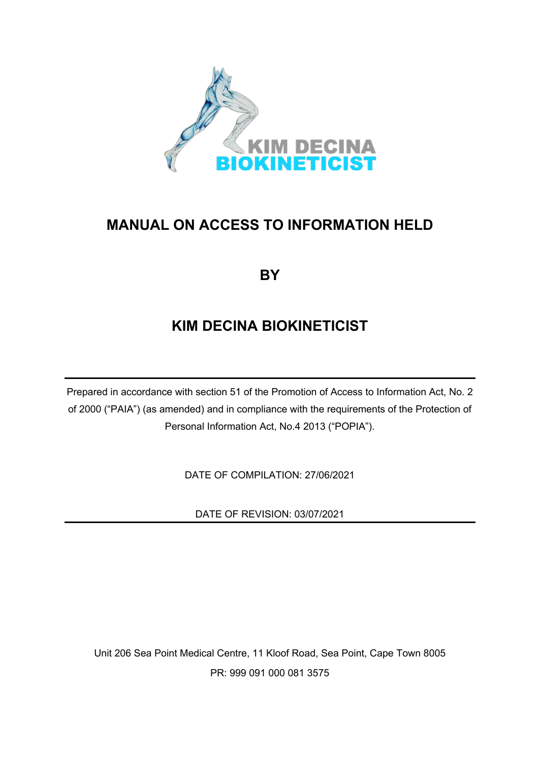

# **MANUAL ON ACCESS TO INFORMATION HELD**

# **BY**

# **KIM DECINA BIOKINETICIST**

Prepared in accordance with section 51 of the Promotion of Access to Information Act, No. 2 of 2000 ("PAIA") (as amended) and in compliance with the requirements of the Protection of Personal Information Act, No.4 2013 ("POPIA").

DATE OF COMPILATION: 27/06/2021

DATE OF REVISION: 03/07/2021

Unit 206 Sea Point Medical Centre, 11 Kloof Road, Sea Point, Cape Town 8005 PR: 999 091 000 081 3575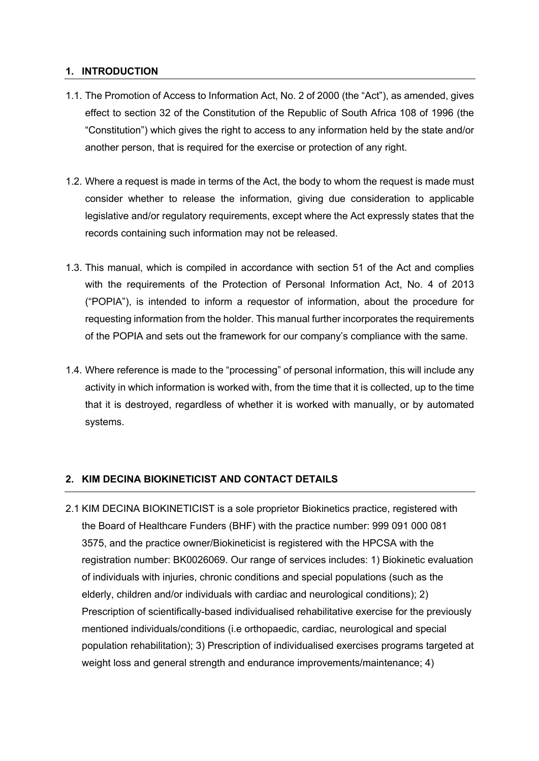## **1. INTRODUCTION**

- 1.1. The Promotion of Access to Information Act, No. 2 of 2000 (the "Act"), as amended, gives effect to section 32 of the Constitution of the Republic of South Africa 108 of 1996 (the "Constitution") which gives the right to access to any information held by the state and/or another person, that is required for the exercise or protection of any right.
- 1.2. Where a request is made in terms of the Act, the body to whom the request is made must consider whether to release the information, giving due consideration to applicable legislative and/or regulatory requirements, except where the Act expressly states that the records containing such information may not be released.
- 1.3. This manual, which is compiled in accordance with section 51 of the Act and complies with the requirements of the Protection of Personal Information Act, No. 4 of 2013 ("POPIA"), is intended to inform a requestor of information, about the procedure for requesting information from the holder. This manual further incorporates the requirements of the POPIA and sets out the framework for our company's compliance with the same.
- 1.4. Where reference is made to the "processing" of personal information, this will include any activity in which information is worked with, from the time that it is collected, up to the time that it is destroyed, regardless of whether it is worked with manually, or by automated systems.

## **2. KIM DECINA BIOKINETICIST AND CONTACT DETAILS**

2.1 KIM DECINA BIOKINETICIST is a sole proprietor Biokinetics practice, registered with the Board of Healthcare Funders (BHF) with the practice number: 999 091 000 081 3575, and the practice owner/Biokineticist is registered with the HPCSA with the registration number: BK0026069. Our range of services includes: 1) Biokinetic evaluation of individuals with injuries, chronic conditions and special populations (such as the elderly, children and/or individuals with cardiac and neurological conditions); 2) Prescription of scientifically-based individualised rehabilitative exercise for the previously mentioned individuals/conditions (i.e orthopaedic, cardiac, neurological and special population rehabilitation); 3) Prescription of individualised exercises programs targeted at weight loss and general strength and endurance improvements/maintenance; 4)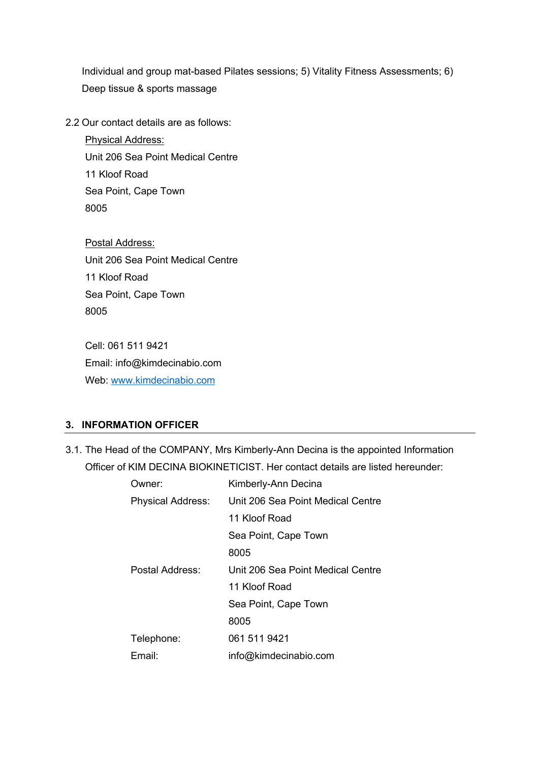Individual and group mat-based Pilates sessions; 5) Vitality Fitness Assessments; 6) Deep tissue & sports massage

2.2 Our contact details are as follows:

Physical Address: Unit 206 Sea Point Medical Centre 11 Kloof Road Sea Point, Cape Town 8005

Postal Address: Unit 206 Sea Point Medical Centre 11 Kloof Road Sea Point, Cape Town 8005

Cell: 061 511 9421 Email: info@kimdecinabio.com Web: www.kimdecinabio.com

## **3. INFORMATION OFFICER**

3.1. The Head of the COMPANY, Mrs Kimberly-Ann Decina is the appointed Information Officer of KIM DECINA BIOKINETICIST. Her contact details are listed hereunder:

| )wner:                   | Kimberly-Ann Decina               |  |
|--------------------------|-----------------------------------|--|
| <b>Physical Address:</b> | Unit 206 Sea Point Medical Centre |  |
|                          | 11 Kloof Road                     |  |
|                          | Sea Point, Cape Town              |  |
|                          | 8005                              |  |
| Postal Address:          | Unit 206 Sea Point Medical Centre |  |
|                          | 11 Kloof Road                     |  |
|                          | Sea Point, Cape Town              |  |
|                          | 8005                              |  |
| Telephone:               | 061 511 9421                      |  |
| Email:                   | info@kimdecinabio.com             |  |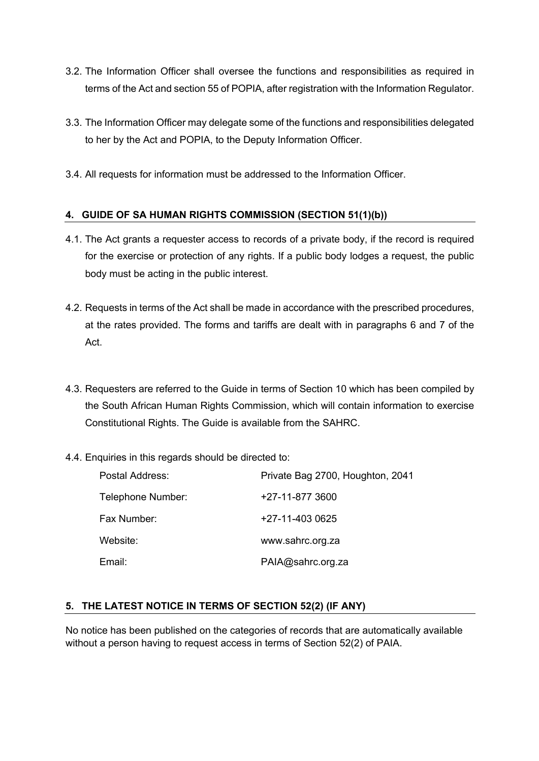- 3.2. The Information Officer shall oversee the functions and responsibilities as required in terms of the Act and section 55 of POPIA, after registration with the Information Regulator.
- 3.3. The Information Officer may delegate some of the functions and responsibilities delegated to her by the Act and POPIA, to the Deputy Information Officer.
- 3.4. All requests for information must be addressed to the Information Officer.

# **4. GUIDE OF SA HUMAN RIGHTS COMMISSION (SECTION 51(1)(b))**

- 4.1. The Act grants a requester access to records of a private body, if the record is required for the exercise or protection of any rights. If a public body lodges a request, the public body must be acting in the public interest.
- 4.2. Requests in terms of the Act shall be made in accordance with the prescribed procedures, at the rates provided. The forms and tariffs are dealt with in paragraphs 6 and 7 of the Act.
- 4.3. Requesters are referred to the Guide in terms of Section 10 which has been compiled by the South African Human Rights Commission, which will contain information to exercise Constitutional Rights. The Guide is available from the SAHRC.
- 4.4. Enquiries in this regards should be directed to:

| Postal Address:   | Private Bag 2700, Houghton, 2041 |
|-------------------|----------------------------------|
| Telephone Number: | +27-11-877 3600                  |
| Fax Number:       | +27-11-403 0625                  |
| Website:          | www.sahrc.org.za                 |
| Email:            | PAIA@sahrc.org.za                |

## **5. THE LATEST NOTICE IN TERMS OF SECTION 52(2) (IF ANY)**

No notice has been published on the categories of records that are automatically available without a person having to request access in terms of Section 52(2) of PAIA.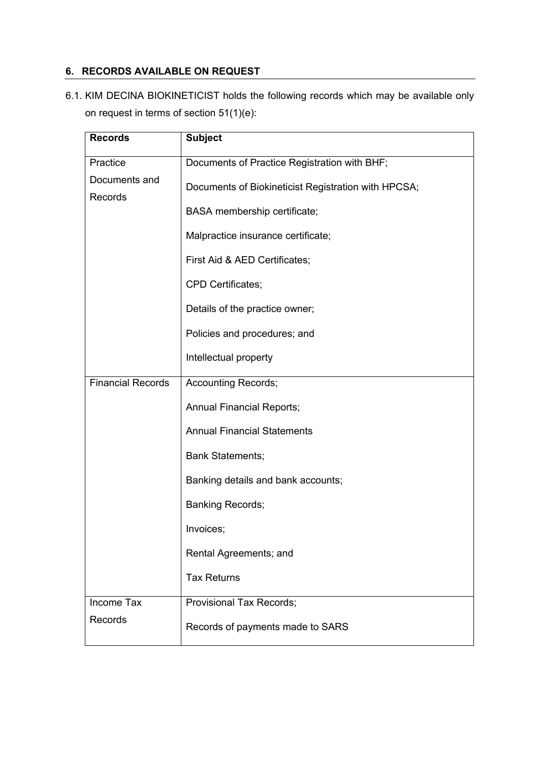# **6. RECORDS AVAILABLE ON REQUEST**

6.1. KIM DECINA BIOKINETICIST holds the following records which may be available only on request in terms of section 51(1)(e):

| <b>Records</b>           | <b>Subject</b>                                      |  |
|--------------------------|-----------------------------------------------------|--|
| Practice                 | Documents of Practice Registration with BHF;        |  |
| Documents and<br>Records | Documents of Biokineticist Registration with HPCSA; |  |
|                          | BASA membership certificate;                        |  |
|                          | Malpractice insurance certificate;                  |  |
|                          | First Aid & AED Certificates;                       |  |
|                          | CPD Certificates;                                   |  |
|                          | Details of the practice owner;                      |  |
|                          | Policies and procedures; and                        |  |
|                          | Intellectual property                               |  |
| <b>Financial Records</b> | <b>Accounting Records;</b>                          |  |
|                          | <b>Annual Financial Reports;</b>                    |  |
|                          | <b>Annual Financial Statements</b>                  |  |
|                          | <b>Bank Statements;</b>                             |  |
|                          | Banking details and bank accounts;                  |  |
|                          | <b>Banking Records;</b>                             |  |
|                          | Invoices:                                           |  |
|                          | Rental Agreements; and                              |  |
|                          | <b>Tax Returns</b>                                  |  |
| Income Tax               | <b>Provisional Tax Records;</b>                     |  |
| Records                  | Records of payments made to SARS                    |  |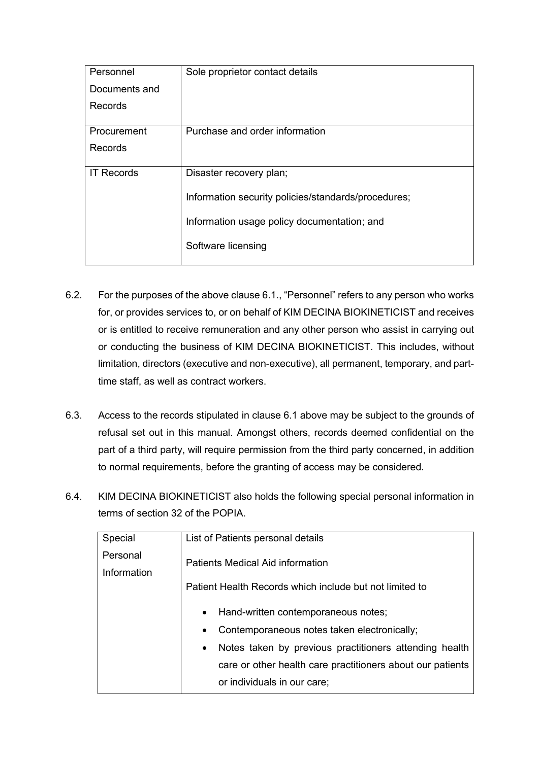| Personnel         | Sole proprietor contact details                     |
|-------------------|-----------------------------------------------------|
| Documents and     |                                                     |
| <b>Records</b>    |                                                     |
|                   |                                                     |
| Procurement       | Purchase and order information                      |
| Records           |                                                     |
| <b>IT Records</b> | Disaster recovery plan;                             |
|                   | Information security policies/standards/procedures; |
|                   | Information usage policy documentation; and         |
|                   | Software licensing                                  |

- 6.2. For the purposes of the above clause 6.1., "Personnel" refers to any person who works for, or provides services to, or on behalf of KIM DECINA BIOKINETICIST and receives or is entitled to receive remuneration and any other person who assist in carrying out or conducting the business of KIM DECINA BIOKINETICIST. This includes, without limitation, directors (executive and non-executive), all permanent, temporary, and parttime staff, as well as contract workers.
- 6.3. Access to the records stipulated in clause 6.1 above may be subject to the grounds of refusal set out in this manual. Amongst others, records deemed confidential on the part of a third party, will require permission from the third party concerned, in addition to normal requirements, before the granting of access may be considered.
- 6.4. KIM DECINA BIOKINETICIST also holds the following special personal information in terms of section 32 of the POPIA.

| Special     | List of Patients personal details                                   |  |
|-------------|---------------------------------------------------------------------|--|
| Personal    | Patients Medical Aid information                                    |  |
| Information |                                                                     |  |
|             | Patient Health Records which include but not limited to             |  |
|             |                                                                     |  |
|             | Hand-written contemporaneous notes;<br>$\bullet$                    |  |
|             | Contemporaneous notes taken electronically;<br>$\bullet$            |  |
|             | Notes taken by previous practitioners attending health<br>$\bullet$ |  |
|             | care or other health care practitioners about our patients          |  |
|             | or individuals in our care;                                         |  |
|             |                                                                     |  |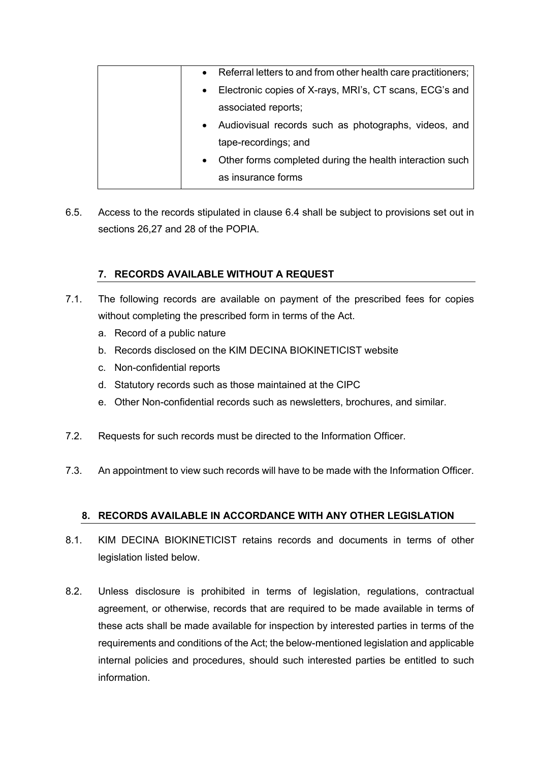|           | • Referral letters to and from other health care practitioners; |
|-----------|-----------------------------------------------------------------|
|           | • Electronic copies of X-rays, MRI's, CT scans, ECG's and       |
|           | associated reports;                                             |
|           | • Audiovisual records such as photographs, videos, and          |
|           | tape-recordings; and                                            |
| $\bullet$ | Other forms completed during the health interaction such        |
|           | as insurance forms                                              |

6.5. Access to the records stipulated in clause 6.4 shall be subject to provisions set out in sections 26,27 and 28 of the POPIA.

# **7. RECORDS AVAILABLE WITHOUT A REQUEST**

- 7.1. The following records are available on payment of the prescribed fees for copies without completing the prescribed form in terms of the Act.
	- a. Record of a public nature
	- b. Records disclosed on the KIM DECINA BIOKINETICIST website
	- c. Non-confidential reports
	- d. Statutory records such as those maintained at the CIPC
	- e. Other Non-confidential records such as newsletters, brochures, and similar.
- 7.2. Requests for such records must be directed to the Information Officer.
- 7.3. An appointment to view such records will have to be made with the Information Officer.

# **8. RECORDS AVAILABLE IN ACCORDANCE WITH ANY OTHER LEGISLATION**

- 8.1. KIM DECINA BIOKINETICIST retains records and documents in terms of other legislation listed below.
- 8.2. Unless disclosure is prohibited in terms of legislation, regulations, contractual agreement, or otherwise, records that are required to be made available in terms of these acts shall be made available for inspection by interested parties in terms of the requirements and conditions of the Act; the below-mentioned legislation and applicable internal policies and procedures, should such interested parties be entitled to such information.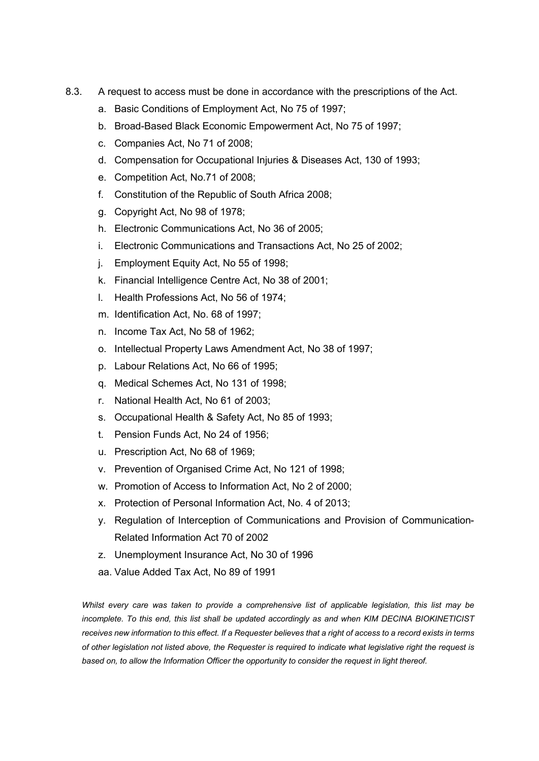- 8.3. A request to access must be done in accordance with the prescriptions of the Act.
	- a. Basic Conditions of Employment Act, No 75 of 1997;
	- b. Broad-Based Black Economic Empowerment Act, No 75 of 1997;
	- c. Companies Act, No 71 of 2008;
	- d. Compensation for Occupational Injuries & Diseases Act, 130 of 1993;
	- e. Competition Act, No.71 of 2008;
	- f. Constitution of the Republic of South Africa 2008;
	- g. Copyright Act, No 98 of 1978;
	- h. Electronic Communications Act, No 36 of 2005;
	- i. Electronic Communications and Transactions Act, No 25 of 2002;
	- j. Employment Equity Act, No 55 of 1998;
	- k. Financial Intelligence Centre Act, No 38 of 2001;
	- l. Health Professions Act, No 56 of 1974;
	- m. Identification Act, No. 68 of 1997;
	- n. Income Tax Act, No 58 of 1962;
	- o. Intellectual Property Laws Amendment Act, No 38 of 1997;
	- p. Labour Relations Act, No 66 of 1995;
	- q. Medical Schemes Act, No 131 of 1998;
	- r. National Health Act, No 61 of 2003;
	- s. Occupational Health & Safety Act, No 85 of 1993;
	- t. Pension Funds Act, No 24 of 1956;
	- u. Prescription Act, No 68 of 1969;
	- v. Prevention of Organised Crime Act, No 121 of 1998;
	- w. Promotion of Access to Information Act, No 2 of 2000;
	- x. Protection of Personal Information Act, No. 4 of 2013;
	- y. Regulation of Interception of Communications and Provision of Communication-Related Information Act 70 of 2002
	- z. Unemployment Insurance Act, No 30 of 1996
	- aa. Value Added Tax Act, No 89 of 1991

*Whilst every care was taken to provide a comprehensive list of applicable legislation, this list may be incomplete. To this end, this list shall be updated accordingly as and when KIM DECINA BIOKINETICIST receives new information to this effect. If a Requester believes that a right of access to a record exists in terms of other legislation not listed above, the Requester is required to indicate what legislative right the request is based on, to allow the Information Officer the opportunity to consider the request in light thereof.*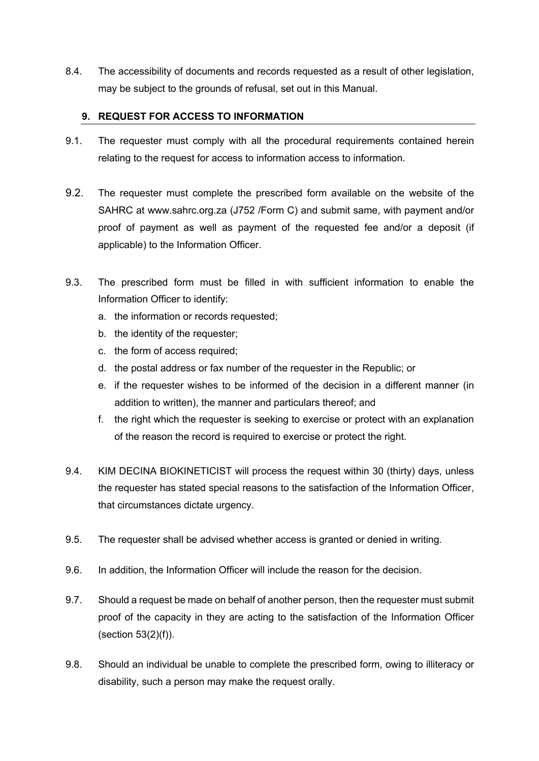8.4. The accessibility of documents and records requested as a result of other legislation, may be subject to the grounds of refusal, set out in this Manual.

#### **9. REQUEST FOR ACCESS TO INFORMATION**

- 9.1. The requester must comply with all the procedural requirements contained herein relating to the request for access to information access to information.
- 9.2. The requester must complete the prescribed form available on the website of the SAHRC at www.sahrc.org.za (J752 /Form C) and submit same, with payment and/or proof of payment as well as payment of the requested fee and/or a deposit (if applicable) to the Information Officer.
- 9.3. The prescribed form must be filled in with sufficient information to enable the Information Officer to identify:
	- a. the information or records requested;
	- b. the identity of the requester;
	- c. the form of access required;
	- d. the postal address or fax number of the requester in the Republic; or
	- e. if the requester wishes to be informed of the decision in a different manner (in addition to written), the manner and particulars thereof; and
	- f. the right which the requester is seeking to exercise or protect with an explanation of the reason the record is required to exercise or protect the right.
- 9.4. KIM DECINA BIOKINETICIST will process the request within 30 (thirty) days, unless the requester has stated special reasons to the satisfaction of the Information Officer, that circumstances dictate urgency.
- 9.5. The requester shall be advised whether access is granted or denied in writing.
- 9.6. In addition, the Information Officer will include the reason for the decision.
- 9.7. Should a request be made on behalf of another person, then the requester must submit proof of the capacity in they are acting to the satisfaction of the Information Officer (section 53(2)(f)).
- 9.8. Should an individual be unable to complete the prescribed form, owing to illiteracy or disability, such a person may make the request orally.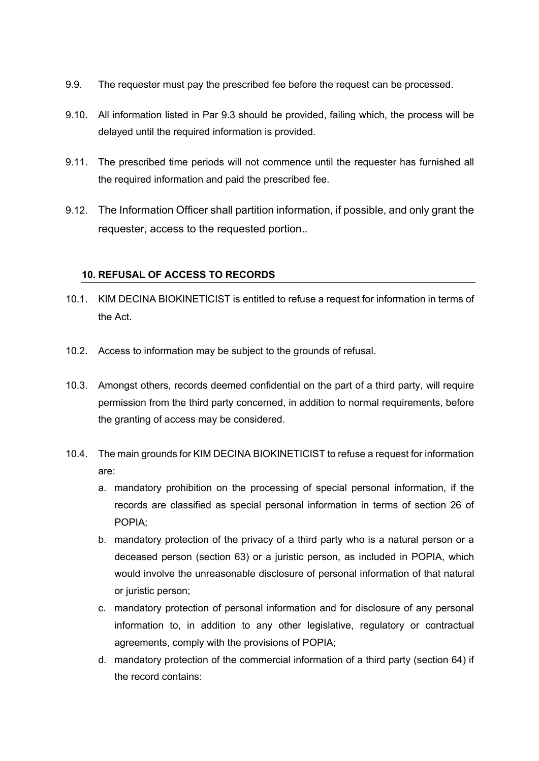- 9.9. The requester must pay the prescribed fee before the request can be processed.
- 9.10. All information listed in Par 9.3 should be provided, failing which, the process will be delayed until the required information is provided.
- 9.11. The prescribed time periods will not commence until the requester has furnished all the required information and paid the prescribed fee.
- 9.12. The Information Officer shall partition information, if possible, and only grant the requester, access to the requested portion..

## **10. REFUSAL OF ACCESS TO RECORDS**

- 10.1. KIM DECINA BIOKINETICIST is entitled to refuse a request for information in terms of the Act.
- 10.2. Access to information may be subject to the grounds of refusal.
- 10.3. Amongst others, records deemed confidential on the part of a third party, will require permission from the third party concerned, in addition to normal requirements, before the granting of access may be considered.
- 10.4. The main grounds for KIM DECINA BIOKINETICIST to refuse a request for information are:
	- a. mandatory prohibition on the processing of special personal information, if the records are classified as special personal information in terms of section 26 of POPIA;
	- b. mandatory protection of the privacy of a third party who is a natural person or a deceased person (section 63) or a juristic person, as included in POPIA, which would involve the unreasonable disclosure of personal information of that natural or juristic person;
	- c. mandatory protection of personal information and for disclosure of any personal information to, in addition to any other legislative, regulatory or contractual agreements, comply with the provisions of POPIA;
	- d. mandatory protection of the commercial information of a third party (section 64) if the record contains: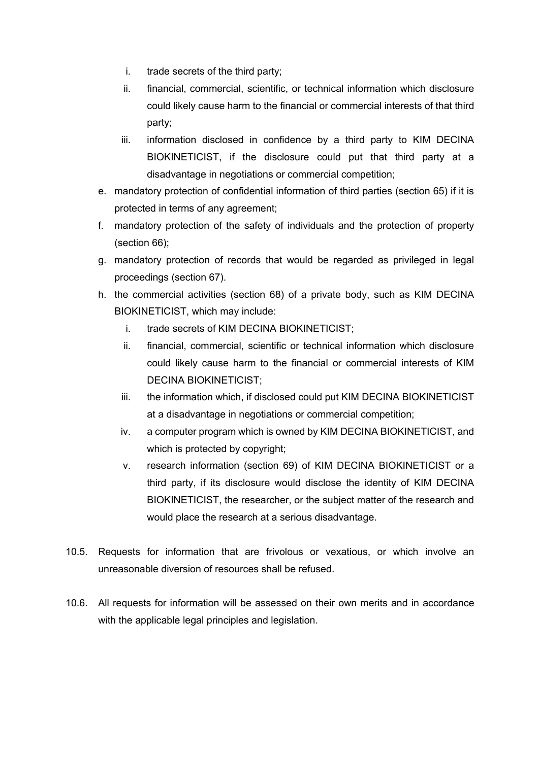- i. trade secrets of the third party;
- ii. financial, commercial, scientific, or technical information which disclosure could likely cause harm to the financial or commercial interests of that third party;
- iii. information disclosed in confidence by a third party to KIM DECINA BIOKINETICIST, if the disclosure could put that third party at a disadvantage in negotiations or commercial competition;
- e. mandatory protection of confidential information of third parties (section 65) if it is protected in terms of any agreement;
- f. mandatory protection of the safety of individuals and the protection of property (section 66);
- g. mandatory protection of records that would be regarded as privileged in legal proceedings (section 67).
- h. the commercial activities (section 68) of a private body, such as KIM DECINA BIOKINETICIST, which may include:
	- i. trade secrets of KIM DECINA BIOKINETICIST;
	- ii. financial, commercial, scientific or technical information which disclosure could likely cause harm to the financial or commercial interests of KIM DECINA BIOKINETICIST;
	- iii. the information which, if disclosed could put KIM DECINA BIOKINETICIST at a disadvantage in negotiations or commercial competition;
	- iv. a computer program which is owned by KIM DECINA BIOKINETICIST, and which is protected by copyright;
	- v. research information (section 69) of KIM DECINA BIOKINETICIST or a third party, if its disclosure would disclose the identity of KIM DECINA BIOKINETICIST, the researcher, or the subject matter of the research and would place the research at a serious disadvantage.
- 10.5. Requests for information that are frivolous or vexatious, or which involve an unreasonable diversion of resources shall be refused.
- 10.6. All requests for information will be assessed on their own merits and in accordance with the applicable legal principles and legislation.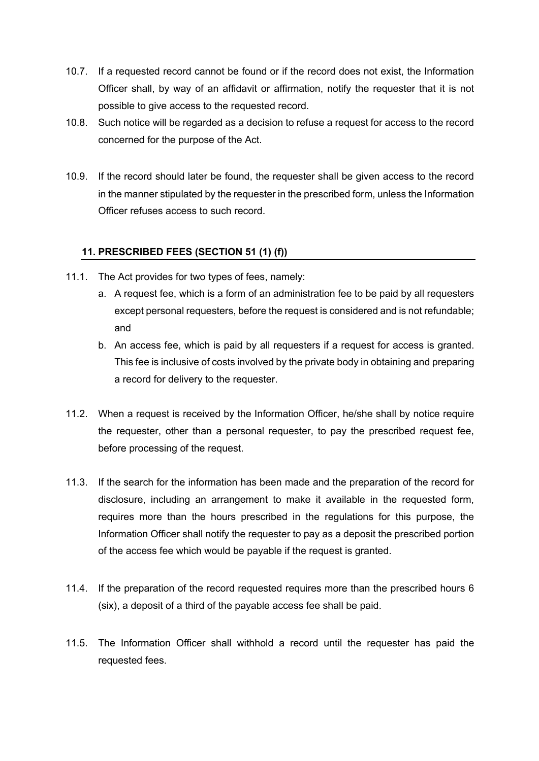- 10.7. If a requested record cannot be found or if the record does not exist, the Information Officer shall, by way of an affidavit or affirmation, notify the requester that it is not possible to give access to the requested record.
- 10.8. Such notice will be regarded as a decision to refuse a request for access to the record concerned for the purpose of the Act.
- 10.9. If the record should later be found, the requester shall be given access to the record in the manner stipulated by the requester in the prescribed form, unless the Information Officer refuses access to such record.

# **11. PRESCRIBED FEES (SECTION 51 (1) (f))**

- 11.1. The Act provides for two types of fees, namely:
	- a. A request fee, which is a form of an administration fee to be paid by all requesters except personal requesters, before the request is considered and is not refundable; and
	- b. An access fee, which is paid by all requesters if a request for access is granted. This fee is inclusive of costs involved by the private body in obtaining and preparing a record for delivery to the requester.
- 11.2. When a request is received by the Information Officer, he/she shall by notice require the requester, other than a personal requester, to pay the prescribed request fee, before processing of the request.
- 11.3. If the search for the information has been made and the preparation of the record for disclosure, including an arrangement to make it available in the requested form, requires more than the hours prescribed in the regulations for this purpose, the Information Officer shall notify the requester to pay as a deposit the prescribed portion of the access fee which would be payable if the request is granted.
- 11.4. If the preparation of the record requested requires more than the prescribed hours 6 (six), a deposit of a third of the payable access fee shall be paid.
- 11.5. The Information Officer shall withhold a record until the requester has paid the requested fees.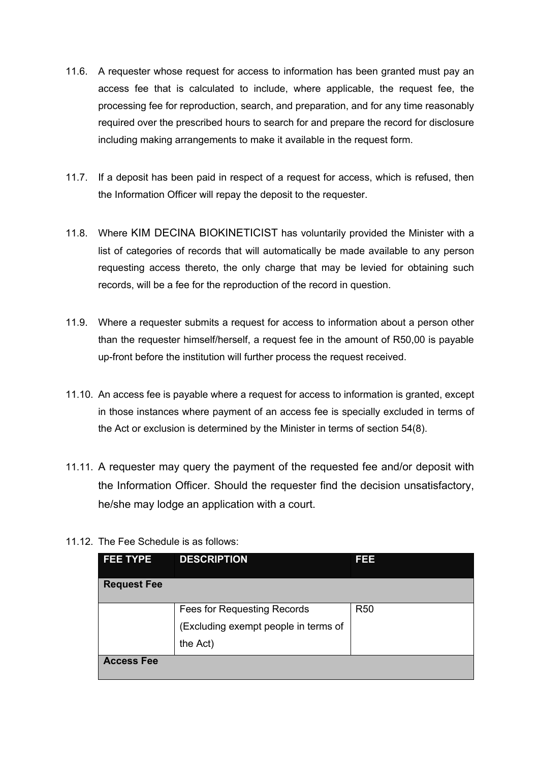- 11.6. A requester whose request for access to information has been granted must pay an access fee that is calculated to include, where applicable, the request fee, the processing fee for reproduction, search, and preparation, and for any time reasonably required over the prescribed hours to search for and prepare the record for disclosure including making arrangements to make it available in the request form.
- 11.7. If a deposit has been paid in respect of a request for access, which is refused, then the Information Officer will repay the deposit to the requester.
- 11.8. Where KIM DECINA BIOKINETICIST has voluntarily provided the Minister with a list of categories of records that will automatically be made available to any person requesting access thereto, the only charge that may be levied for obtaining such records, will be a fee for the reproduction of the record in question.
- 11.9. Where a requester submits a request for access to information about a person other than the requester himself/herself, a request fee in the amount of R50,00 is payable up-front before the institution will further process the request received.
- 11.10. An access fee is payable where a request for access to information is granted, except in those instances where payment of an access fee is specially excluded in terms of the Act or exclusion is determined by the Minister in terms of section 54(8).
- 11.11. A requester may query the payment of the requested fee and/or deposit with the Information Officer. Should the requester find the decision unsatisfactory, he/she may lodge an application with a court.
- 11.12. The Fee Schedule is as follows:

| <b>FEE TYPE</b>    | <b>DESCRIPTION</b>                   | 1333       |
|--------------------|--------------------------------------|------------|
| <b>Request Fee</b> |                                      |            |
|                    | Fees for Requesting Records          | <b>R50</b> |
|                    | (Excluding exempt people in terms of |            |
|                    | the Act)                             |            |
| <b>Access Fee</b>  |                                      |            |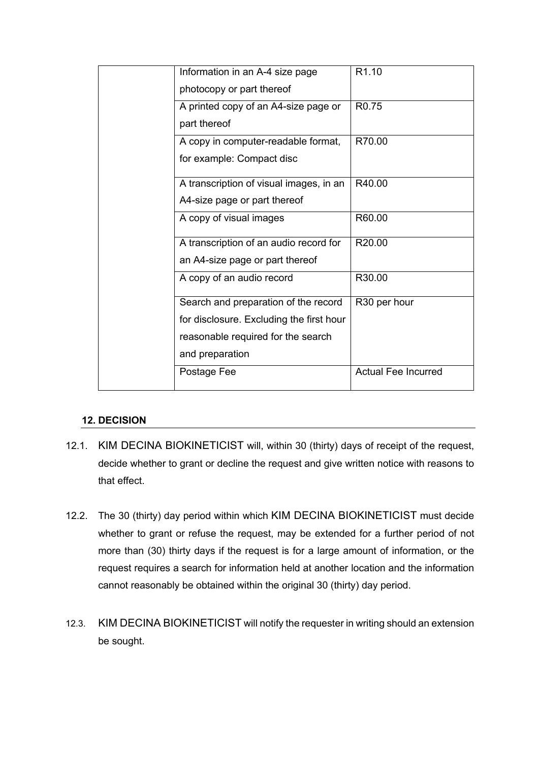| Information in an A-4 size page          | R <sub>1.10</sub>          |
|------------------------------------------|----------------------------|
| photocopy or part thereof                |                            |
| A printed copy of an A4-size page or     | R <sub>0.75</sub>          |
| part thereof                             |                            |
| A copy in computer-readable format,      | R70.00                     |
| for example: Compact disc                |                            |
| A transcription of visual images, in an  | R40.00                     |
| A4-size page or part thereof             |                            |
| A copy of visual images                  | R60.00                     |
| A transcription of an audio record for   | R <sub>20.00</sub>         |
| an A4-size page or part thereof          |                            |
| A copy of an audio record                | R30.00                     |
| Search and preparation of the record     | R30 per hour               |
| for disclosure. Excluding the first hour |                            |
| reasonable required for the search       |                            |
| and preparation                          |                            |
| Postage Fee                              | <b>Actual Fee Incurred</b> |
|                                          |                            |

## **12. DECISION**

- 12.1. KIM DECINA BIOKINETICIST will, within 30 (thirty) days of receipt of the request, decide whether to grant or decline the request and give written notice with reasons to that effect.
- 12.2. The 30 (thirty) day period within which KIM DECINA BIOKINETICIST must decide whether to grant or refuse the request, may be extended for a further period of not more than (30) thirty days if the request is for a large amount of information, or the request requires a search for information held at another location and the information cannot reasonably be obtained within the original 30 (thirty) day period.
- 12.3. KIM DECINA BIOKINETICIST will notify the requester in writing should an extension be sought.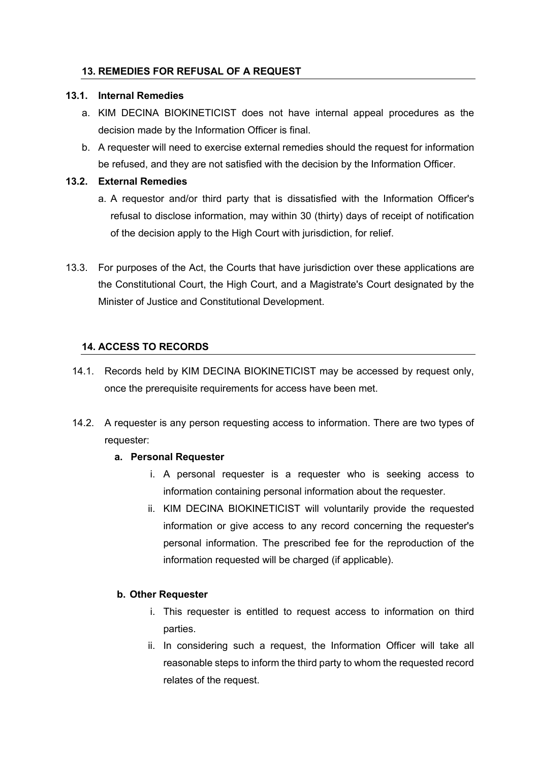#### **13. REMEDIES FOR REFUSAL OF A REQUEST**

#### **13.1. Internal Remedies**

- a. KIM DECINA BIOKINETICIST does not have internal appeal procedures as the decision made by the Information Officer is final.
- b. A requester will need to exercise external remedies should the request for information be refused, and they are not satisfied with the decision by the Information Officer.

#### **13.2. External Remedies**

- a. A requestor and/or third party that is dissatisfied with the Information Officer's refusal to disclose information, may within 30 (thirty) days of receipt of notification of the decision apply to the High Court with jurisdiction, for relief.
- 13.3. For purposes of the Act, the Courts that have jurisdiction over these applications are the Constitutional Court, the High Court, and a Magistrate's Court designated by the Minister of Justice and Constitutional Development.

#### **14. ACCESS TO RECORDS**

- 14.1. Records held by KIM DECINA BIOKINETICIST may be accessed by request only, once the prerequisite requirements for access have been met.
- 14.2. A requester is any person requesting access to information. There are two types of requester:

#### **a. Personal Requester**

- i. A personal requester is a requester who is seeking access to information containing personal information about the requester.
- ii. KIM DECINA BIOKINETICIST will voluntarily provide the requested information or give access to any record concerning the requester's personal information. The prescribed fee for the reproduction of the information requested will be charged (if applicable).

#### **b. Other Requester**

- i. This requester is entitled to request access to information on third parties.
- ii. In considering such a request, the Information Officer will take all reasonable steps to inform the third party to whom the requested record relates of the request.